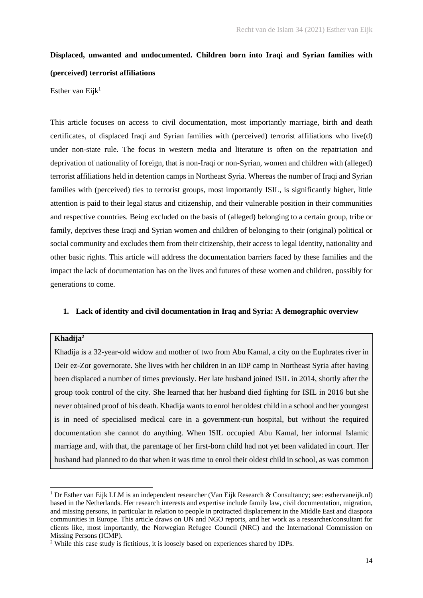# **Displaced, unwanted and undocumented. Children born into Iraqi and Syrian families with (perceived) terrorist affiliations**

Esther van Eijk<sup>1</sup>

This article focuses on access to civil documentation, most importantly marriage, birth and death certificates, of displaced Iraqi and Syrian families with (perceived) terrorist affiliations who live(d) under non-state rule. The focus in western media and literature is often on the repatriation and deprivation of nationality of foreign, that is non-Iraqi or non-Syrian, women and children with (alleged) terrorist affiliations held in detention camps in Northeast Syria. Whereas the number of Iraqi and Syrian families with (perceived) ties to terrorist groups, most importantly ISIL, is significantly higher, little attention is paid to their legal status and citizenship, and their vulnerable position in their communities and respective countries. Being excluded on the basis of (alleged) belonging to a certain group, tribe or family, deprives these Iraqi and Syrian women and children of belonging to their (original) political or social community and excludes them from their citizenship, their access to legal identity, nationality and other basic rights. This article will address the documentation barriers faced by these families and the impact the lack of documentation has on the lives and futures of these women and children, possibly for generations to come.

# **1. Lack of identity and civil documentation in Iraq and Syria: A demographic overview**

# **Khadija<sup>2</sup>**

Khadija is a 32-year-old widow and mother of two from Abu Kamal, a city on the Euphrates river in Deir ez-Zor governorate. She lives with her children in an IDP camp in Northeast Syria after having been displaced a number of times previously. Her late husband joined ISIL in 2014, shortly after the group took control of the city. She learned that her husband died fighting for ISIL in 2016 but she never obtained proof of his death. Khadija wants to enrol her oldest child in a school and her youngest is in need of specialised medical care in a government-run hospital, but without the required documentation she cannot do anything. When ISIL occupied Abu Kamal, her informal Islamic marriage and, with that, the parentage of her first-born child had not yet been validated in court. Her husband had planned to do that when it was time to enrol their oldest child in school, as was common

<sup>1</sup> Dr Esther van Eijk LLM is an independent researcher (Van Eijk Research & Consultancy; see: esthervaneijk.nl) based in the Netherlands. Her research interests and expertise include family law, civil documentation, migration, and missing persons, in particular in relation to people in protracted displacement in the Middle East and diaspora communities in Europe. This article draws on UN and NGO reports, and her work as a researcher/consultant for clients like, most importantly, the Norwegian Refugee Council (NRC) and the International Commission on Missing Persons (ICMP).

<sup>2</sup> While this case study is fictitious, it is loosely based on experiences shared by IDPs.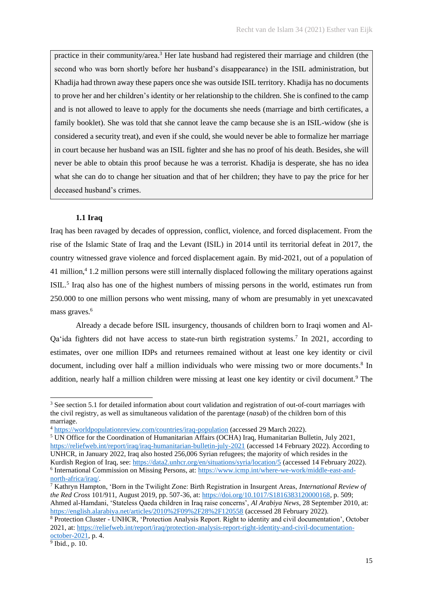practice in their community/area.<sup>3</sup> Her late husband had registered their marriage and children (the second who was born shortly before her husband's disappearance) in the ISIL administration, but Khadija had thrown away these papers once she was outside ISIL territory. Khadija has no documents to prove her and her children's identity or her relationship to the children. She is confined to the camp and is not allowed to leave to apply for the documents she needs (marriage and birth certificates, a family booklet). She was told that she cannot leave the camp because she is an ISIL-widow (she is considered a security treat), and even if she could, she would never be able to formalize her marriage in court because her husband was an ISIL fighter and she has no proof of his death. Besides, she will never be able to obtain this proof because he was a terrorist. Khadija is desperate, she has no idea what she can do to change her situation and that of her children; they have to pay the price for her deceased husband's crimes.

## **1.1 Iraq**

Iraq has been ravaged by decades of oppression, conflict, violence, and forced displacement. From the rise of the Islamic State of Iraq and the Levant (ISIL) in 2014 until its territorial defeat in 2017, the country witnessed grave violence and forced displacement again. By mid-2021, out of a population of 41 million,<sup>4</sup> 1.2 million persons were still internally displaced following the military operations against ISIL.<sup>5</sup> Iraq also has one of the highest numbers of missing persons in the world, estimates run from 250.000 to one million persons who went missing, many of whom are presumably in yet unexcavated mass graves.<sup>6</sup>

Already a decade before ISIL insurgency, thousands of children born to Iraqi women and Al-Qa'ida fighters did not have access to state-run birth registration systems.<sup>7</sup> In 2021, according to estimates, over one million IDPs and returnees remained without at least one key identity or civil document, including over half a million individuals who were missing two or more documents.<sup>8</sup> In addition, nearly half a million children were missing at least one key identity or civil document.<sup>9</sup> The

<sup>5</sup> UN Office for the Coordination of Humanitarian Affairs (OCHA) Iraq, Humanitarian Bulletin, July 2021,

<sup>&</sup>lt;sup>3</sup> See section 5.1 for detailed information about court validation and registration of out-of-court marriages with the civil registry, as well as simultaneous validation of the parentage (*nasab*) of the children born of this marriage.

<sup>4</sup> [https://worldpopulationreview.com/countries/iraq-population](about:blank) (accessed 29 March 2022).

[https://reliefweb.int/report/iraq/iraq-humanitarian-bulletin-july-2021](about:blank) (accessed 14 February 2022). According to UNHCR, in January 2022, Iraq also hosted 256,006 Syrian refugees; the majority of which resides in the Kurdish Region of Iraq, see: [https://data2.unhcr.org/en/situations/syria/location/5](about:blank) (accessed 14 February 2022). <sup>6</sup> International Commission on Missing Persons, at: [https://www.icmp.int/where-we-work/middle-east-and-](about:blank)

[north-africa/iraq/.](about:blank)

<sup>7</sup> Kathryn Hampton, 'Born in the Twilight Zone: Birth Registration in Insurgent Areas, *International Review of the Red Cross* 101/911, August 2019, pp. 507-36, at[: https://doi.org/10.1017/S1816383120000168,](about:blank) p. 509; Ahmed al-Hamdani, 'Stateless Qaeda children in Iraq raise concerns', *Al Arabiya News*, 28 September 2010, at: [https://english.alarabiya.net/articles/2010%2F09%2F28%2F120558](about:blank) (accessed 28 February 2022).

<sup>8</sup> Protection Cluster - UNHCR, 'Protection Analysis Report. Right to identity and civil documentation', October 2021, at: [https://reliefweb.int/report/iraq/protection-analysis-report-right-identity-and-civil-documentation](about:blank)[october-2021,](about:blank) p. 4.

<sup>9</sup> Ibid., p. 10.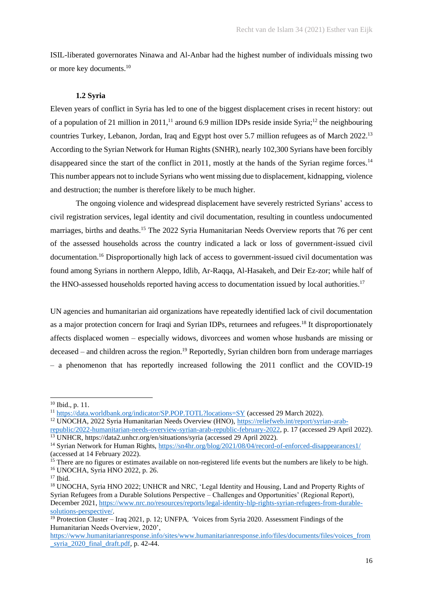ISIL-liberated governorates Ninawa and Al-Anbar had the highest number of individuals missing two or more key documents.<sup>10</sup>

## **1.2 Syria**

Eleven years of conflict in Syria has led to one of the biggest displacement crises in recent history: out of a population of 21 million in 2011,<sup>11</sup> around 6.9 million IDPs reside inside Syria;<sup>12</sup> the neighbouring countries Turkey, Lebanon, Jordan, Iraq and Egypt host over 5.7 million refugees as of March 2022.<sup>13</sup> According to the Syrian Network for Human Rights (SNHR), nearly 102,300 Syrians have been forcibly disappeared since the start of the conflict in 2011, mostly at the hands of the Syrian regime forces.<sup>14</sup> This number appears not to include Syrians who went missing due to displacement, kidnapping, violence and destruction; the number is therefore likely to be much higher.

The ongoing violence and widespread displacement have severely restricted Syrians' access to civil registration services, legal identity and civil documentation, resulting in countless undocumented marriages, births and deaths.<sup>15</sup> The 2022 Syria Humanitarian Needs Overview reports that 76 per cent of the assessed households across the country indicated a lack or loss of government-issued civil documentation.<sup>16</sup> Disproportionally high lack of access to government-issued civil documentation was found among Syrians in northern Aleppo, Idlib, Ar-Raqqa, Al-Hasakeh, and Deir Ez-zor; while half of the HNO-assessed households reported having access to documentation issued by local authorities.<sup>17</sup>

UN agencies and humanitarian aid organizations have repeatedly identified lack of civil documentation as a major protection concern for Iraqi and Syrian IDPs, returnees and refugees.<sup>18</sup> It disproportionately affects displaced women – especially widows, divorcees and women whose husbands are missing or  $decesed -$  and children across the region.<sup>19</sup> Reportedly, Syrian children born from underage marriages – a phenomenon that has reportedly increased following the 2011 conflict and the COVID-19

<sup>10</sup> Ibid., p. 11.

<sup>11</sup> [https://data.worldbank.org/indicator/SP.POP.TOTL?locations=SY](about:blank) (accessed 29 March 2022).

<sup>12</sup> UNOCHA, 2022 Syria Humanitarian Needs Overview (HNO), [https://reliefweb.int/report/syrian-arab](about:blank)[republic/2022-humanitarian-needs-overview-syrian-arab-republic-february-2022,](about:blank) p. 17 (accessed 29 April 2022).

<sup>13</sup> UNHCR, https://data2.unhcr.org/en/situations/syria (accessed 29 April 2022).

<sup>&</sup>lt;sup>14</sup> Syrian Network for Human Rights, [https://sn4hr.org/blog/2021/08/04/record-of-enforced-disappearances1/](about:blank) (accessed at 14 February 2022).

<sup>&</sup>lt;sup>15</sup> There are no figures or estimates available on non-registered life events but the numbers are likely to be high. <sup>16</sup> UNOCHA, Syria HNO 2022, p. 26.

<sup>&</sup>lt;sup>17</sup> Ibid.

<sup>&</sup>lt;sup>18</sup> UNOCHA, Syria HNO 2022; UNHCR and NRC, 'Legal Identity and Housing, Land and Property Rights of Syrian Refugees from a Durable Solutions Perspective – Challenges and Opportunities' (Regional Report), December 2021, [https://www.nrc.no/resources/reports/legal-identity-hlp-rights-syrian-refugees-from-durable](about:blank)[solutions-perspective/.](about:blank)

<sup>19</sup> Protection Cluster – Iraq 2021, p. 12; UNFPA*, '*Voices from Syria 2020. Assessment Findings of the Humanitarian Needs Overview, 2020',

[https://www.humanitarianresponse.info/sites/www.humanitarianresponse.info/files/documents/files/voices\\_from](about:blank) [\\_syria\\_2020\\_final\\_draft.pdf,](about:blank) p. 42-44.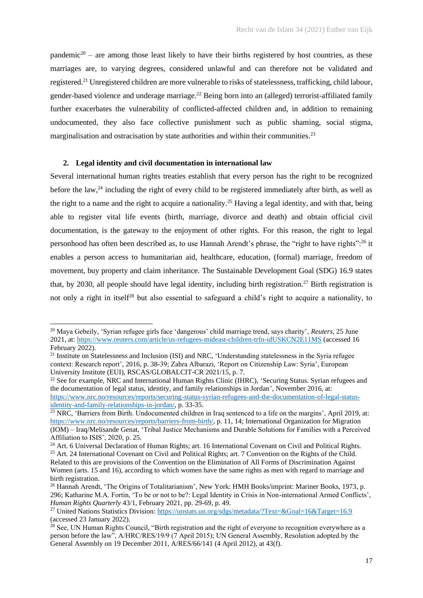pandemic<sup>20</sup> – are among those least likely to have their births registered by host countries, as these marriages are, to varying degrees, considered unlawful and can therefore not be validated and registered.<sup>21</sup> Unregistered children are more vulnerable to risks of statelessness, trafficking, child labour, gender-based violence and underage marriage.<sup>22</sup> Being born into an (alleged) terrorist-affiliated family further exacerbates the vulnerability of conflicted-affected children and, in addition to remaining undocumented, they also face collective punishment such as public shaming, social stigma, marginalisation and ostracisation by state authorities and within their communities.<sup>23</sup>

## **2. Legal identity and civil documentation in international law**

Several international human rights treaties establish that every person has the right to be recognized before the law, $^{24}$  including the right of every child to be registered immediately after birth, as well as the right to a name and the right to acquire a nationality.<sup>25</sup> Having a legal identity, and with that, being able to register vital life events (birth, marriage, divorce and death) and obtain official civil documentation, is the gateway to the enjoyment of other rights. For this reason, the right to legal personhood has often been described as, to use Hannah Arendt's phrase, the "right to have rights":<sup>26</sup> it enables a person access to humanitarian aid, healthcare, education, (formal) marriage, freedom of movement, buy property and claim inheritance. The Sustainable Development Goal (SDG) 16.9 states that, by 2030, all people should have legal identity, including birth registration.<sup>27</sup> Birth registration is not only a right in itself<sup>28</sup> but also essential to safeguard a child's right to acquire a nationality, to

<sup>20</sup> Maya Gebeily, 'Syrian refugee girls face 'dangerous' child marriage trend, says charity', *Reuters*, 25 June 2021, at: [https://www.reuters.com/article/us-refugees-mideast-children-trfn-idUSKCN2E11MS](about:blank) (accessed 16 February 2022).

<sup>&</sup>lt;sup>21</sup> Institute on Statelessness and Inclusion (ISI) and NRC, 'Understanding statelessness in the Syria refugee context: Research report', 2016, p. 38-39; Zahra Albarazi, 'Report on Citizenship Law: Syria', European University Institute (EUI), RSCAS/GLOBALCIT-CR 2021/15, p. 7.

<sup>&</sup>lt;sup>22</sup> See for example, NRC and International Human Rights Clinic (IHRC), 'Securing Status. Syrian refugees and the documentation of legal status, identity, and family relationships in Jordan', November 2016, at: [https://www.nrc.no/resources/reports/securing-status-syrian-refugees-and-the-documentation-of-legal-status](about:blank)[identity-and-family-relationships-in-jordan/,](about:blank) p. 33-35.

<sup>&</sup>lt;sup>23</sup> NRC, 'Barriers from Birth. Undocumented children in Iraq sentenced to a life on the margins', April 2019, at: [https://www.nrc.no/resources/reports/barriers-from-birth/,](about:blank) p. 11, 14; International Organization for Migration (IOM) – Iraq/Melisande Genat, 'Tribal Justice Mechanisms and Durable Solutions for Families with a Perceived Affiliation to ISIS', 2020, p. 25.

<sup>&</sup>lt;sup>24</sup> Art. 6 Universal Declaration of Human Rights; art. 16 International Covenant on Civil and Political Rights. <sup>25</sup> Art. 24 International Covenant on Civil and Political Rights; art. 7 Convention on the Rights of the Child. Related to this are provisions of the Convention on the Elimination of All Forms of Discrimination Against

Women (arts. 15 and 16), according to which women have the same rights as men with regard to marriage and birth registration.

<sup>&</sup>lt;sup>26</sup> Hannah Arendt, 'The Origins of Totalitarianism', New York: HMH Books/imprint: Mariner Books, 1973, p. 296; Katharine M.A. Fortin, 'To be or not to be?: Legal Identity in Crisis in Non-international Armed Conflicts', *Human Rights Quarterly* 43/1, February 2021, pp. 29-69, p. 49.

<sup>27</sup> United Nations Statistics Division[: https://unstats.un.org/sdgs/metadata/?Text=&Goal=16&Target=16.9](about:blank) (accessed 23 January 2022).

 $^{28}$  See, UN Human Rights Council, "Birth registration and the right of everyone to recognition everywhere as a person before the law", A/HRC/RES/19/9 (7 April 2015); UN General Assembly, Resolution adopted by the General Assembly on 19 December 2011, A/RES/66/141 (4 April 2012), at 43(f).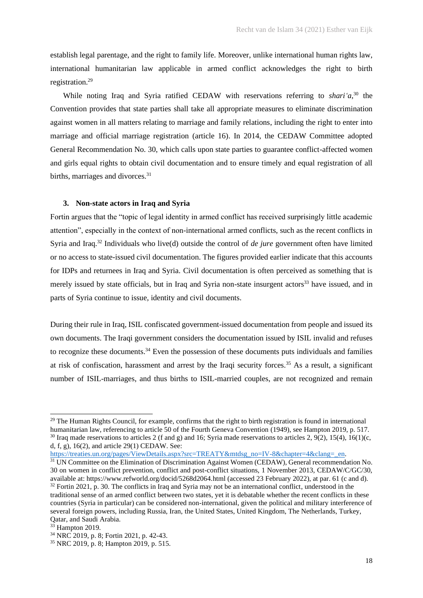establish legal parentage, and the right to family life. Moreover, unlike international human rights law, international humanitarian law applicable in armed conflict acknowledges the right to birth registration. 29

While noting Iraq and Syria ratified CEDAW with reservations referring to *shari'a*,<sup>30</sup> the Convention provides that state parties shall take all appropriate measures to eliminate discrimination against women in all matters relating to marriage and family relations, including the right to enter into marriage and official marriage registration (article 16). In 2014, the CEDAW Committee adopted General Recommendation No. 30, which calls upon state parties to guarantee conflict-affected women and girls equal rights to obtain civil documentation and to ensure timely and equal registration of all births, marriages and divorces.<sup>31</sup>

## **3. Non-state actors in Iraq and Syria**

Fortin argues that the "topic of legal identity in armed conflict has received surprisingly little academic attention", especially in the context of non-international armed conflicts, such as the recent conflicts in Syria and Iraq.<sup>32</sup> Individuals who live(d) outside the control of *de jure* government often have limited or no access to state-issued civil documentation. The figures provided earlier indicate that this accounts for IDPs and returnees in Iraq and Syria. Civil documentation is often perceived as something that is merely issued by state officials, but in Iraq and Syria non-state insurgent actors<sup>33</sup> have issued, and in parts of Syria continue to issue, identity and civil documents.

During their rule in Iraq, ISIL confiscated government-issued documentation from people and issued its own documents. The Iraqi government considers the documentation issued by ISIL invalid and refuses to recognize these documents.<sup>34</sup> Even the possession of these documents puts individuals and families at risk of confiscation, harassment and arrest by the Iraqi security forces.<sup>35</sup> As a result, a significant number of ISIL-marriages, and thus births to ISIL-married couples, are not recognized and remain

[https://treaties.un.org/pages/ViewDetails.aspx?src=TREATY&mtdsg\\_no=IV-8&chapter=4&clang=\\_en.](about:blank)

<sup>&</sup>lt;sup>29</sup> The Human Rights Council, for example, confirms that the right to birth registration is found in international humanitarian law, referencing to article 50 of the Fourth Geneva Convention (1949), see Hampton 2019, p. 517. <sup>30</sup> Iraq made reservations to articles 2 (f and g) and 16; Syria made reservations to articles 2,  $9(2)$ ,  $15(4)$ ,  $16(1)(c)$ , d, f, g), 16(2), and article 29(1) CEDAW. See:

<sup>&</sup>lt;sup>31</sup> UN Committee on the Elimination of Discrimination Against Women (CEDAW), General recommendation No. 30 on women in conflict prevention, conflict and post-conflict situations, 1 November 2013, CEDAW/C/GC/30, available at: https://www.refworld.org/docid/5268d2064.html (accessed 23 February 2022), at par. 61 (c and d). <sup>32</sup> Fortin 2021, p. 30. The conflicts in Iraq and Syria may not be an international conflict, understood in the traditional sense of an armed conflict between two states, yet it is debatable whether the recent conflicts in these countries (Syria in particular) can be considered non-international, given the political and military interference of several foreign powers, including Russia, Iran, the United States, United Kingdom, The Netherlands, Turkey, Qatar, and Saudi Arabia.

<sup>&</sup>lt;sup>33</sup> Hampton 2019.

<sup>34</sup> NRC 2019, p. 8; Fortin 2021, p. 42-43.

<sup>35</sup> NRC 2019, p. 8; Hampton 2019, p. 515.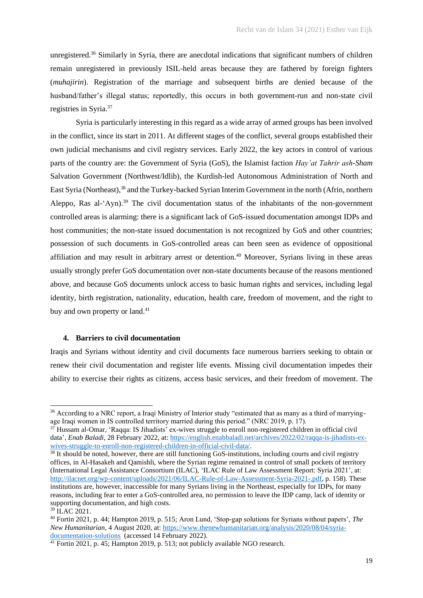unregistered.<sup>36</sup> Similarly in Syria, there are anecdotal indications that significant numbers of children remain unregistered in previously ISIL-held areas because they are fathered by foreign fighters (*muhajirin*). Registration of the marriage and subsequent births are denied because of the husband/father's illegal status; reportedly, this occurs in both government-run and non-state civil registries in Syria. 37

Syria is particularly interesting in this regard as a wide array of armed groups has been involved in the conflict, since its start in 2011. At different stages of the conflict, several groups established their own judicial mechanisms and civil registry services. Early 2022, the key actors in control of various parts of the country are: the Government of Syria (GoS), the Islamist faction *Hay'at Tahrir ash-Sham* Salvation Government (Northwest/Idlib), the Kurdish-led Autonomous Administration of North and East Syria (Northeast), <sup>38</sup> and the Turkey-backed Syrian Interim Government in the north (Afrin, northern Aleppo, Ras al-'Ayn).<sup>39</sup> The civil documentation status of the inhabitants of the non-government controlled areas is alarming: there is a significant lack of GoS-issued documentation amongst IDPs and host communities; the non-state issued documentation is not recognized by GoS and other countries; possession of such documents in GoS-controlled areas can been seen as evidence of oppositional affiliation and may result in arbitrary arrest or detention.<sup>40</sup> Moreover, Syrians living in these areas usually strongly prefer GoS documentation over non-state documents because of the reasons mentioned above, and because GoS documents unlock access to basic human rights and services, including legal identity, birth registration, nationality, education, health care, freedom of movement, and the right to buy and own property or land.<sup>41</sup>

# **4. Barriers to civil documentation**

Iraqis and Syrians without identity and civil documents face numerous barriers seeking to obtain or renew their civil documentation and register life events. Missing civil documentation impedes their ability to exercise their rights as citizens, access basic services, and their freedom of movement. The

<sup>&</sup>lt;sup>36</sup> According to a NRC report, a Iraqi Ministry of Interior study "estimated that as many as a third of marryingage Iraqi women in IS controlled territory married during this period." (NRC 2019, p. 17).

<sup>37</sup> Hussam al-Omar, 'Raqqa: IS Jihadists' ex-wives struggle to enroll non-registered children in official civil data', *Enab Baladi*, 28 February 2022, at[: https://english.enabbaladi.net/archives/2022/02/raqqa-is-jihadists-ex](about:blank)[wives-struggle-to-enroll-non-registered-children-in-official-civil-data/.](about:blank)

 $38$  It should be noted, however, there are still functioning GoS-institutions, including courts and civil registry offices, in Al-Hasakeh and Qamishli, where the Syrian regime remained in control of small pockets of territory (International Legal Assistance Consortium (ILAC), 'ILAC Rule of Law Assessment Report: Syria 2021', at: [http://ilacnet.org/wp-content/uploads/2021/06/ILAC-Rule-of-Law-Assessment-Syria-2021-.pdf,](about:blank) p. 158). These institutions are, however, inaccessible for many Syrians living in the Northeast, especially for IDPs, for many reasons, including fear to enter a GoS-controlled area, no permission to leave the IDP camp, lack of identity or supporting documentation, and high costs.

 $39 \text{ H}$ . AC 2021.

<sup>40</sup> Fortin 2021, p. 44; Hampton 2019, p. 515; Aron Lund, 'Stop-gap solutions for Syrians without papers', *The New Humanitarian*, 4 August 2020, at: [https://www.thenewhumanitarian.org/analysis/2020/08/04/syria](about:blank)[documentation-solutions](about:blank) (accessed 14 February 2022).

 $\frac{41}{41}$  Fortin 2021, p. 45; Hampton 2019, p. 513; not publicly available NGO research.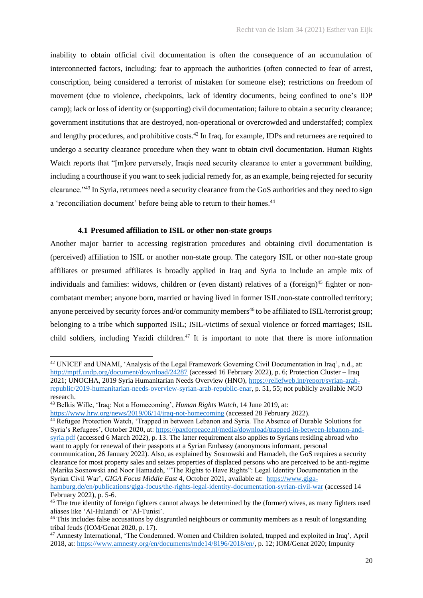inability to obtain official civil documentation is often the consequence of an accumulation of interconnected factors, including: fear to approach the authorities (often connected to fear of arrest, conscription, being considered a terrorist of mistaken for someone else); restrictions on freedom of movement (due to violence, checkpoints, lack of identity documents, being confined to one's IDP camp); lack or loss of identity or (supporting) civil documentation; failure to obtain a security clearance; government institutions that are destroyed, non-operational or overcrowded and understaffed; complex and lengthy procedures, and prohibitive costs.<sup>42</sup> In Iraq, for example, IDPs and returnees are required to undergo a security clearance procedure when they want to obtain civil documentation. Human Rights Watch reports that "[m]ore perversely, Iraqis need security clearance to enter a government building, including a courthouse if you want to seek judicial remedy for, as an example, being rejected for security clearance."<sup>43</sup> In Syria, returnees need a security clearance from the GoS authorities and they need to sign a 'reconciliation document' before being able to return to their homes.<sup>44</sup>

# **4.1 Presumed affiliation to ISIL or other non-state groups**

Another major barrier to accessing registration procedures and obtaining civil documentation is (perceived) affiliation to ISIL or another non-state group. The category ISIL or other non-state group affiliates or presumed affiliates is broadly applied in Iraq and Syria to include an ample mix of individuals and families: widows, children or (even distant) relatives of a (foreign)<sup>45</sup> fighter or noncombatant member; anyone born, married or having lived in former ISIL/non-state controlled territory; anyone perceived by security forces and/or community members<sup>46</sup> to be affiliated to  $ISIL/terrorist group$ ; belonging to a tribe which supported ISIL; ISIL-victims of sexual violence or forced marriages; ISIL child soldiers, including Yazidi children.<sup>47</sup> It is important to note that there is more information

<sup>44</sup> Refugee Protection Watch, 'Trapped in between Lebanon and Syria. The Absence of Durable Solutions for Syria's Refugees', October 2020, at: [https://paxforpeace.nl/media/download/trapped-in-between-lebanon-and](about:blank)[syria.pdf](about:blank) (accessed 6 March 2022), p. 13. The latter requirement also applies to Syrians residing abroad who want to apply for renewal of their passports at a Syrian Embassy (anonymous informant, personal communication, 26 January 2022). Also, as explained by Sosnowski and Hamadeh, the GoS requires a security clearance for most property sales and seizes properties of displaced persons who are perceived to be anti-regime (Marika Sosnowski and Noor Hamadeh, '"The Rights to Have Rights": Legal Identity Documentation in the Syrian Civil War', *GIGA Focus Middle East* 4, October 2021, available at: [https://www.giga-](about:blank)

<sup>42</sup> UNICEF and UNAMI, 'Analysis of the Legal Framework Governing Civil Documentation in Iraq', n.d., at: [http://mptf.undp.org/document/download/24287](about:blank) (accessed 16 February 2022), p. 6; Protection Cluster – Iraq 2021; UNOCHA, 2019 Syria Humanitarian Needs Overview (HNO), [https://reliefweb.int/report/syrian-arab](about:blank)[republic/2019-humanitarian-needs-overview-syrian-arab-republic-enar,](about:blank) p. 51, 55; not publicly available NGO research.

<sup>43</sup> Belkis Wille, 'Iraq: Not a Homecoming', *Human Rights Watch*, 14 June 2019, at:

[https://www.hrw.org/news/2019/06/14/iraq-not-homecoming](about:blank) (accessed 28 February 2022).

[hamburg.de/en/publications/giga-focus/the-rights-legal-identity-documentation-syrian-civil-war](about:blank) (accessed 14 February 2022), p. 5-6.

<sup>&</sup>lt;sup>45</sup> The true identity of foreign fighters cannot always be determined by the (former) wives, as many fighters used aliases like 'Al-Hulandi' or 'Al-Tunisi'.

<sup>46</sup> This includes false accusations by disgruntled neighbours or community members as a result of longstanding tribal feuds (IOM/Genat 2020, p. 17).

<sup>47</sup> Amnesty International, 'The Condemned. Women and Children isolated, trapped and exploited in Iraq', April 2018, at: [https://www.amnesty.org/en/documents/mde14/8196/2018/en/,](about:blank) p. 12; IOM/Genat 2020; Impunity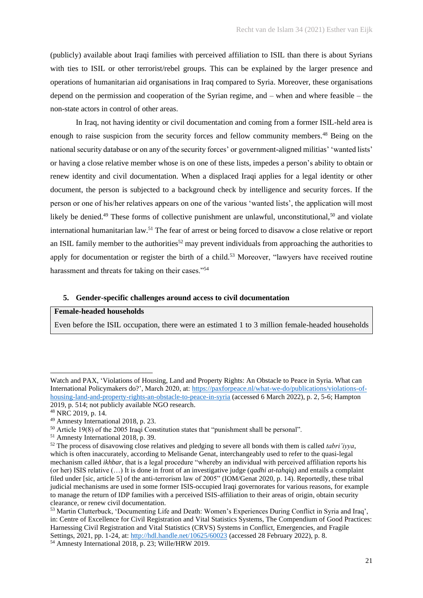(publicly) available about Iraqi families with perceived affiliation to ISIL than there is about Syrians with ties to ISIL or other terrorist/rebel groups. This can be explained by the larger presence and operations of humanitarian aid organisations in Iraq compared to Syria. Moreover, these organisations depend on the permission and cooperation of the Syrian regime, and – when and where feasible – the non-state actors in control of other areas.

In Iraq, not having identity or civil documentation and coming from a former ISIL-held area is enough to raise suspicion from the security forces and fellow community members.<sup>48</sup> Being on the national security database or on any of the security forces' or government-aligned militias' 'wanted lists' or having a close relative member whose is on one of these lists, impedes a person's ability to obtain or renew identity and civil documentation. When a displaced Iraqi applies for a legal identity or other document, the person is subjected to a background check by intelligence and security forces. If the person or one of his/her relatives appears on one of the various 'wanted lists', the application will most likely be denied.<sup>49</sup> These forms of collective punishment are unlawful, unconstitutional,<sup>50</sup> and violate international humanitarian law.<sup>51</sup> The fear of arrest or being forced to disavow a close relative or report an ISIL family member to the authorities<sup>52</sup> may prevent individuals from approaching the authorities to apply for documentation or register the birth of a child.<sup>53</sup> Moreover, "lawyers have received routine harassment and threats for taking on their cases."<sup>54</sup>

## **5. Gender-specific challenges around access to civil documentation**

## **Female-headed households**

Even before the ISIL occupation, there were an estimated 1 to 3 million female-headed households

Watch and PAX, 'Violations of Housing, Land and Property Rights: An Obstacle to Peace in Syria. What can International Policymakers do?', March 2020, at: [https://paxforpeace.nl/what-we-do/publications/violations-of](about:blank)[housing-land-and-property-rights-an-obstacle-to-peace-in-syria](about:blank) (accessed 6 March 2022), p. 2, 5-6; Hampton 2019, p. 514; not publicly available NGO research.

<sup>48</sup> NRC 2019, p. 14.

<sup>49</sup> Amnesty International 2018, p. 23.

<sup>50</sup> Article 19(8) of the 2005 Iraqi Constitution states that "punishment shall be personal".

<sup>51</sup> Amnesty International 2018, p. 39.

<sup>52</sup> The process of disavowing close relatives and pledging to severe all bonds with them is called *tabri'iyya*, which is often inaccurately, according to Melisande Genat, interchangeably used to refer to the quasi-legal mechanism called *ikhbar*, that is a legal procedure "whereby an individual with perceived affiliation reports his (or her) ISIS relative (…) It is done in front of an investigative judge (*qadhi at-tahqiq*) and entails a complaint filed under [sic, article 5] of the anti-terrorism law of 2005" (IOM/Genat 2020, p. 14). Reportedly, these tribal judicial mechanisms are used in some former ISIS-occupied Iraqi governorates for various reasons, for example to manage the return of IDP families with a perceived ISIS-affiliation to their areas of origin, obtain security clearance, or renew civil documentation.

<sup>53</sup> Martin Clutterbuck, 'Documenting Life and Death: Women's Experiences During Conflict in Syria and Iraq', in: Centre of Excellence for Civil Registration and Vital Statistics Systems, The Compendium of Good Practices: Harnessing Civil Registration and Vital Statistics (CRVS) Systems in Conflict, Emergencies, and Fragile Settings, 2021, pp. 1-24, at: [http://hdl.handle.net/10625/60023](about:blank) (accessed 28 February 2022), p. 8.

<sup>54</sup> Amnesty International 2018, p. 23; Wille/HRW 2019.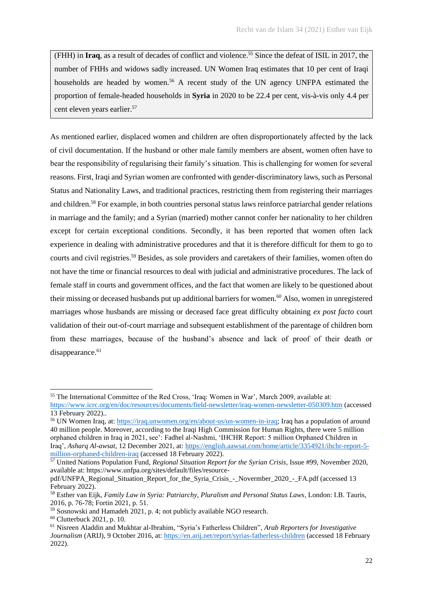(FHH) in **Iraq**, as a result of decades of conflict and violence.<sup>55</sup> Since the defeat of ISIL in 2017, the number of FHHs and widows sadly increased. UN Women Iraq estimates that 10 per cent of Iraqi households are headed by women.<sup>56</sup> A recent study of the UN agency UNFPA estimated the proportion of female-headed households in **Syria** in 2020 to be 22.4 per cent, vis-à-vis only 4.4 per cent eleven years earlier.<sup>57</sup>

As mentioned earlier, displaced women and children are often disproportionately affected by the lack of civil documentation. If the husband or other male family members are absent, women often have to bear the responsibility of regularising their family's situation. This is challenging for women for several reasons. First, Iraqi and Syrian women are confronted with gender-discriminatory laws, such as Personal Status and Nationality Laws, and traditional practices, restricting them from registering their marriages and children.<sup>58</sup> For example, in both countries personal status laws reinforce patriarchal gender relations in marriage and the family; and a Syrian (married) mother cannot confer her nationality to her children except for certain exceptional conditions. Secondly, it has been reported that women often lack experience in dealing with administrative procedures and that it is therefore difficult for them to go to courts and civil registries.<sup>59</sup> Besides, as sole providers and caretakers of their families, women often do not have the time or financial resources to deal with judicial and administrative procedures. The lack of female staff in courts and government offices, and the fact that women are likely to be questioned about their missing or deceased husbands put up additional barriers for women.<sup>60</sup> Also, women in unregistered marriages whose husbands are missing or deceased face great difficulty obtaining *ex post facto* court validation of their out-of-court marriage and subsequent establishment of the parentage of children born from these marriages, because of the husband's absence and lack of proof of their death or disappearance.<sup>61</sup>

<sup>55</sup> The International Committee of the Red Cross, 'Iraq: Women in War', March 2009, available at:

[https://www.icrc.org/en/doc/resources/documents/field-newsletter/iraq-women-newsletter-050309.htm](about:blank) (accessed 13 February 2022)..

<sup>56</sup> UN Women Iraq, at[: https://iraq.unwomen.org/en/about-us/un-women-in-iraq;](about:blank) Iraq has a population of around 40 million people. Moreover, according to the Iraqi High Commission for Human Rights, there were 5 million orphaned children in Iraq in 2021, see': Fadhel al-Nashmi, 'IHCHR Report: 5 million Orphaned Children in Iraq', *Asharq Al-awsat*, 12 December 2021, at: [https://english.aawsat.com/home/article/3354921/ihchr-report-5](about:blank) [million-orphaned-children-iraq](about:blank) (accessed 18 February 2022).

<sup>57</sup> United Nations Population Fund, *Regional Situation Report for the Syrian Crisis*, Issue #99, November 2020, available at: https://www.unfpa.org/sites/default/files/resource-

pdf/UNFPA\_Regional\_Situation\_Report\_for\_the\_Syria\_Crisis\_-\_Novermber\_2020\_-\_FA.pdf (accessed 13 February 2022).

<sup>58</sup> Esther van Eijk, *Family Law in Syria: Patriarchy, Pluralism and Personal Status Laws*, London: I.B. Tauris, 2016, p. 76-78; Fortin 2021, p. 51.

<sup>59</sup> Sosnowski and Hamadeh 2021, p. 4; not publicly available NGO research.

<sup>60</sup> Clutterbuck 2021, p. 10.

<sup>61</sup> Nisreen Aladdin and Mukhtar al-Ibrahim, "Syria's Fatherless Children", *Arab Reporters for Investigative Journalism* (ARIJ), 9 October 2016, at: [https://en.arij.net/report/syrias-fatherless-children](about:blank) (accessed 18 February 2022).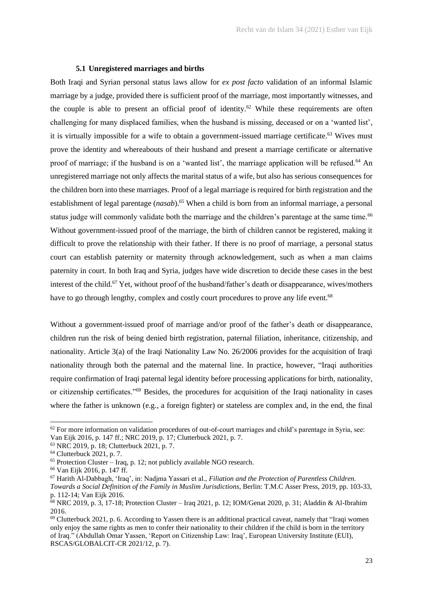# **5.1 Unregistered marriages and births**

Both Iraqi and Syrian personal status laws allow for *ex post facto* validation of an informal Islamic marriage by a judge, provided there is sufficient proof of the marriage, most importantly witnesses, and the couple is able to present an official proof of identity.<sup>62</sup> While these requirements are often challenging for many displaced families, when the husband is missing, deceased or on a 'wanted list', it is virtually impossible for a wife to obtain a government-issued marriage certificate.<sup>63</sup> Wives must prove the identity and whereabouts of their husband and present a marriage certificate or alternative proof of marriage; if the husband is on a 'wanted list', the marriage application will be refused.<sup>64</sup> An unregistered marriage not only affects the marital status of a wife, but also has serious consequences for the children born into these marriages. Proof of a legal marriage is required for birth registration and the establishment of legal parentage (*nasab*).<sup>65</sup> When a child is born from an informal marriage, a personal status judge will commonly validate both the marriage and the children's parentage at the same time.<sup>66</sup> Without government-issued proof of the marriage, the birth of children cannot be registered, making it difficult to prove the relationship with their father. If there is no proof of marriage, a personal status court can establish paternity or maternity through acknowledgement, such as when a man claims paternity in court. In both Iraq and Syria, judges have wide discretion to decide these cases in the best interest of the child.<sup>67</sup> Yet, without proof of the husband/father's death or disappearance, wives/mothers have to go through lengthy, complex and costly court procedures to prove any life event.<sup>68</sup>

Without a government-issued proof of marriage and/or proof of the father's death or disappearance, children run the risk of being denied birth registration, paternal filiation, inheritance, citizenship, and nationality. Article 3(a) of the Iraqi Nationality Law No. 26/2006 provides for the acquisition of Iraqi nationality through both the paternal and the maternal line. In practice, however, "Iraqi authorities require confirmation of Iraqi paternal legal identity before processing applications for birth, nationality, or citizenship certificates."<sup>69</sup> Besides, the procedures for acquisition of the Iraqi nationality in cases where the father is unknown (e.g., a foreign fighter) or stateless are complex and, in the end, the final

 $62$  For more information on validation procedures of out-of-court marriages and child's parentage in Syria, see: Van Eijk 2016, p. 147 ff.; NRC 2019, p. 17; Clutterbuck 2021, p. 7.

<sup>63</sup> NRC 2019, p. 18; Clutterbuck 2021, p. 7.

<sup>64</sup> Clutterbuck 2021, p. 7.

 $65$  Protection Cluster – Iraq, p. 12; not publicly available NGO research.

<sup>66</sup> Van Eijk 2016, p. 147 ff.

<sup>67</sup> Harith Al-Dabbagh, 'Iraq', in: Nadjma Yassari et al., *Filiation and the Protection of Parentless Children. Towards a Social Definition of the Family in Muslim Jurisdictions*, Berlin: T.M.C Asser Press, 2019, pp. 103-33, p. 112-14; Van Eijk 2016.

<sup>68</sup> NRC 2019, p. 3, 17-18; Protection Cluster – Iraq 2021, p. 12; IOM/Genat 2020, p. 31; Aladdin & Al-Ibrahim 2016.

<sup>&</sup>lt;sup>69</sup> Clutterbuck 2021, p. 6. According to Yassen there is an additional practical caveat, namely that "Iraqi women only enjoy the same rights as men to confer their nationality to their children if the child is born in the territory of Iraq." (Abdullah Omar Yassen, 'Report on Citizenship Law: Iraq', European University Institute (EUI), RSCAS/GLOBALCIT-CR 2021/12, p. 7).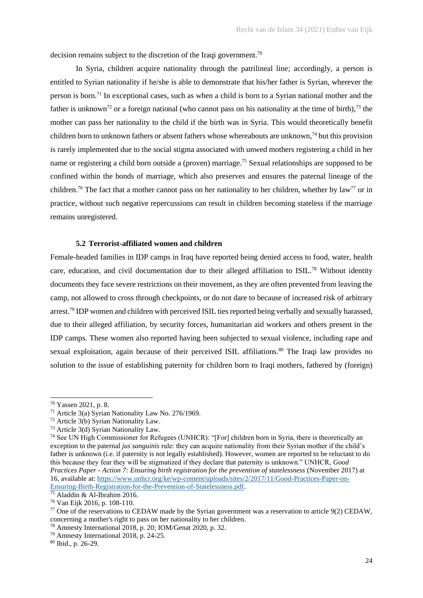decision remains subject to the discretion of the Iraqi government.<sup>70</sup>

In Syria, children acquire nationality through the patrilineal line; accordingly, a person is entitled to Syrian nationality if he/she is able to demonstrate that his/her father is Syrian, wherever the person is born.<sup>71</sup> In exceptional cases, such as when a child is born to a Syrian national mother and the father is unknown<sup>72</sup> or a foreign national (who cannot pass on his nationality at the time of birth),<sup>73</sup> the mother can pass her nationality to the child if the birth was in Syria. This would theoretically benefit children born to unknown fathers or absent fathers whose whereabouts are unknown, <sup>74</sup> but this provision is rarely implemented due to the social stigma associated with unwed mothers registering a child in her name or registering a child born outside a (proven) marriage.<sup>75</sup> Sexual relationships are supposed to be confined within the bonds of marriage, which also preserves and ensures the paternal lineage of the children.<sup>76</sup> The fact that a mother cannot pass on her nationality to her children, whether by law<sup>77</sup> or in practice, without such negative repercussions can result in children becoming stateless if the marriage remains unregistered.

# **5.2 Terrorist-affiliated women and children**

Female-headed families in IDP camps in Iraq have reported being denied access to food, water, health care, education, and civil documentation due to their alleged affiliation to ISIL.<sup>78</sup> Without identity documents they face severe restrictions on their movement, as they are often prevented from leaving the camp, not allowed to cross through checkpoints, or do not dare to because of increased risk of arbitrary arrest.<sup>79</sup> IDP women and children with perceived ISIL ties reported being verbally and sexually harassed, due to their alleged affiliation, by security forces, humanitarian aid workers and others present in the IDP camps. These women also reported having been subjected to sexual violence, including rape and sexual exploitation, again because of their perceived ISIL affiliations.<sup>80</sup> The Iraqi law provides no solution to the issue of establishing paternity for children born to Iraqi mothers, fathered by (foreign)

<sup>70</sup> Yassen 2021, p. 8.

<sup>71</sup> Article 3(a) Syrian Nationality Law No. 276/1969.

<sup>72</sup> Article 3(b) Syrian Nationality Law.

<sup>73</sup> Article 3(d) Syrian Nationality Law.

<sup>74</sup> See UN High Commissioner for Refugees (UNHCR): "[For] children born in Syria, there is theoretically an exception to the paternal *jus sanguinis* rule: they can acquire nationality from their Syrian mother if the child's father is unknown (i.e. if paternity is not legally established). However, women are reported to be reluctant to do this because they fear they will be stigmatized if they declare that paternity is unknown." UNHCR, *Good Practices Paper - Action 7: Ensuring birth registration for the prevention of statelessness* (November 2017) at 16, available at: [https://www.unhcr.org/ke/wp-content/uploads/sites/2/2017/11/Good-Practices-Paper-on-](about:blank)[Ensuring-Birth-Registration-for-the-Prevention-of-Statelessness.pdf.](about:blank)

 $\frac{20}{75}$  Aladdin & Al-Ibrahim 2016.

<sup>76</sup> Van Eijk 2016, p. 108-110.

 $77$  One of the reservations to CEDAW made by the Syrian government was a reservation to article 9(2) CEDAW, concerning a mother's right to pass on her nationality to her children.

<sup>78</sup> Amnesty International 2018, p. 20; IOM/Genat 2020, p. 32.

<sup>79</sup> Amnesty International 2018, p. 24-25.

<sup>80</sup> Ibid., p. 26-29.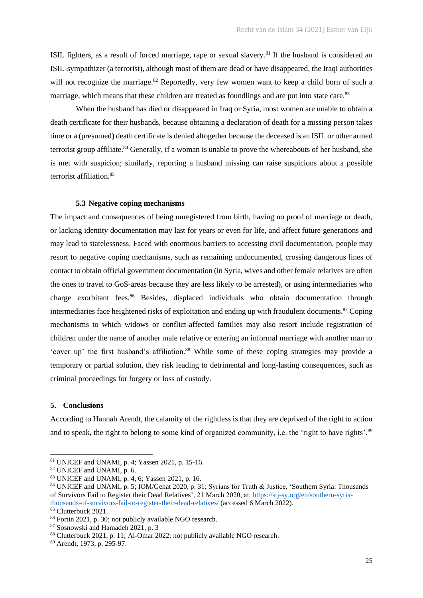ISIL fighters, as a result of forced marriage, rape or sexual slavery.<sup>81</sup> If the husband is considered an ISIL-sympathizer (a terrorist), although most of them are dead or have disappeared, the Iraqi authorities will not recognize the marriage.<sup>82</sup> Reportedly, very few women want to keep a child born of such a marriage, which means that these children are treated as foundlings and are put into state care.<sup>83</sup>

When the husband has died or disappeared in Iraq or Syria, most women are unable to obtain a death certificate for their husbands, because obtaining a declaration of death for a missing person takes time or a (presumed) death certificate is denied altogether because the deceased is an ISIL or other armed terrorist group affiliate.<sup>84</sup> Generally, if a woman is unable to prove the whereabouts of her husband, she is met with suspicion; similarly, reporting a husband missing can raise suspicions about a possible terrorist affiliation.<sup>85</sup>

## **5.3 Negative coping mechanisms**

The impact and consequences of being unregistered from birth, having no proof of marriage or death, or lacking identity documentation may last for years or even for life, and affect future generations and may lead to statelessness. Faced with enormous barriers to accessing civil documentation, people may resort to negative coping mechanisms, such as remaining undocumented, crossing dangerous lines of contact to obtain official government documentation (in Syria, wives and other female relatives are often the ones to travel to GoS-areas because they are less likely to be arrested), or using intermediaries who charge exorbitant fees.<sup>86</sup> Besides, displaced individuals who obtain documentation through intermediaries face heightened risks of exploitation and ending up with fraudulent documents.<sup>87</sup> Coping mechanisms to which widows or conflict-affected families may also resort include registration of children under the name of another male relative or entering an informal marriage with another man to 'cover up' the first husband's affiliation.<sup>88</sup> While some of these coping strategies may provide a temporary or partial solution, they risk leading to detrimental and long-lasting consequences, such as criminal proceedings for forgery or loss of custody.

## **5. Conclusions**

According to Hannah Arendt, the calamity of the rightless is that they are deprived of the right to action and to speak, the right to belong to some kind of organized community, i.e. the 'right to have rights'.<sup>89</sup>

<sup>81</sup> UNICEF and UNAMI, p. 4; Yassen 2021, p. 15-16.

<sup>82</sup> UNICEF and UNAMI, p. 6.

<sup>83</sup> UNICEF and UNAMI, p. 4, 6; Yassen 2021, p. 16.

<sup>84</sup> UNICEF and UNAMI, p. 5; IOM/Genat 2020, p. 31; Syrians for Truth & Justice, 'Southern Syria: Thousands of Survivors Fail to Register their Dead Relatives', 21 March 2020, at: [https://stj-sy.org/en/southern-syria](about:blank)[thousands-of-survivors-fail-to-register-their-dead-relatives/](about:blank) (accessed 6 March 2022).

<sup>&</sup>lt;sup>85</sup> Clutterbuck 2021.

<sup>86</sup> Fortin 2021, p. 30; not publicly available NGO research.

<sup>87</sup> Sosnowski and Hamadeh 2021, p. 3

<sup>88</sup> Clutterbuck 2021, p. 11; Al-Omar 2022; not publicly available NGO research.

<sup>89</sup> Arendt, 1973, p. 295-97.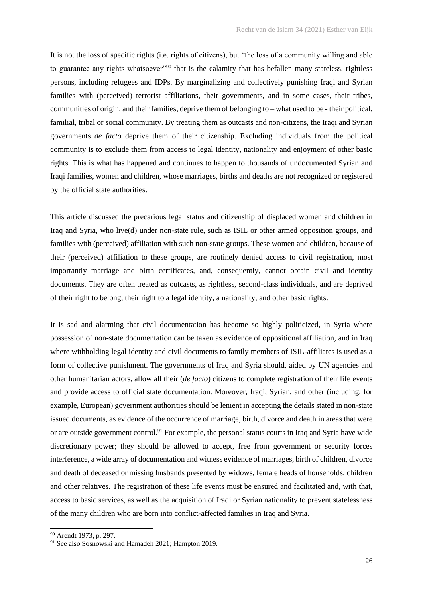It is not the loss of specific rights (i.e. rights of citizens), but "the loss of a community willing and able to guarantee any rights whatsoever"<sup>90</sup> that is the calamity that has befallen many stateless, rightless persons, including refugees and IDPs. By marginalizing and collectively punishing Iraqi and Syrian families with (perceived) terrorist affiliations, their governments, and in some cases, their tribes, communities of origin, and their families, deprive them of belonging to – what used to be - their political, familial, tribal or social community. By treating them as outcasts and non-citizens, the Iraqi and Syrian governments *de facto* deprive them of their citizenship. Excluding individuals from the political community is to exclude them from access to legal identity, nationality and enjoyment of other basic rights. This is what has happened and continues to happen to thousands of undocumented Syrian and Iraqi families, women and children, whose marriages, births and deaths are not recognized or registered by the official state authorities.

This article discussed the precarious legal status and citizenship of displaced women and children in Iraq and Syria, who live(d) under non-state rule, such as ISIL or other armed opposition groups, and families with (perceived) affiliation with such non-state groups. These women and children, because of their (perceived) affiliation to these groups, are routinely denied access to civil registration, most importantly marriage and birth certificates, and, consequently, cannot obtain civil and identity documents. They are often treated as outcasts, as rightless, second-class individuals, and are deprived of their right to belong, their right to a legal identity, a nationality, and other basic rights.

It is sad and alarming that civil documentation has become so highly politicized, in Syria where possession of non-state documentation can be taken as evidence of oppositional affiliation, and in Iraq where withholding legal identity and civil documents to family members of ISIL-affiliates is used as a form of collective punishment. The governments of Iraq and Syria should, aided by UN agencies and other humanitarian actors, allow all their (*de facto*) citizens to complete registration of their life events and provide access to official state documentation. Moreover, Iraqi, Syrian, and other (including, for example, European) government authorities should be lenient in accepting the details stated in non-state issued documents, as evidence of the occurrence of marriage, birth, divorce and death in areas that were or are outside government control.<sup>91</sup> For example, the personal status courts in Iraq and Syria have wide discretionary power; they should be allowed to accept, free from government or security forces interference, a wide array of documentation and witness evidence of marriages, birth of children, divorce and death of deceased or missing husbands presented by widows, female heads of households, children and other relatives. The registration of these life events must be ensured and facilitated and, with that, access to basic services, as well as the acquisition of Iraqi or Syrian nationality to prevent statelessness of the many children who are born into conflict-affected families in Iraq and Syria.

<sup>90</sup> Arendt 1973, p. 297.

<sup>&</sup>lt;sup>91</sup> See also Sosnowski and Hamadeh 2021; Hampton 2019.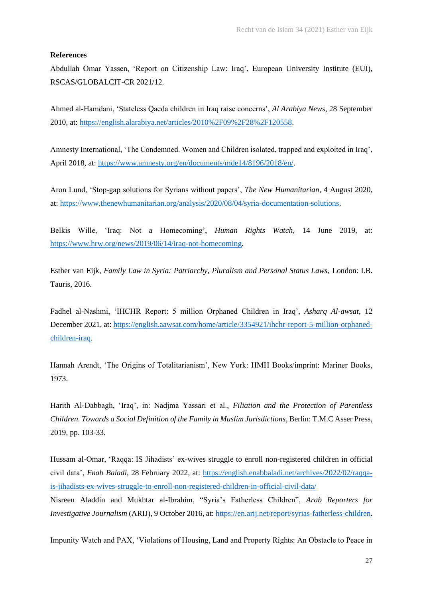## **References**

Abdullah Omar Yassen, 'Report on Citizenship Law: Iraq', European University Institute (EUI), RSCAS/GLOBALCIT-CR 2021/12.

Ahmed al-Hamdani, 'Stateless Qaeda children in Iraq raise concerns', *Al Arabiya News*, 28 September 2010, at: [https://english.alarabiya.net/articles/2010%2F09%2F28%2F120558.](about:blank)

Amnesty International, 'The Condemned. Women and Children isolated, trapped and exploited in Iraq', April 2018, at: [https://www.amnesty.org/en/documents/mde14/8196/2018/en/.](about:blank)

Aron Lund, 'Stop-gap solutions for Syrians without papers', *The New Humanitarian*, 4 August 2020, at: [https://www.thenewhumanitarian.org/analysis/2020/08/04/syria-documentation-solutions.](about:blank)

Belkis Wille, 'Iraq: Not a Homecoming', *Human Rights Watch*, 14 June 2019, at: [https://www.hrw.org/news/2019/06/14/iraq-not-homecoming.](about:blank)

Esther van Eijk, *Family Law in Syria: Patriarchy, Pluralism and Personal Status Laws*, London: I.B. Tauris, 2016.

Fadhel al-Nashmi, 'IHCHR Report: 5 million Orphaned Children in Iraq', *Asharq Al-awsat*, 12 December 2021, at[: https://english.aawsat.com/home/article/3354921/ihchr-report-5-million-orphaned](about:blank)[children-iraq.](about:blank)

Hannah Arendt, 'The Origins of Totalitarianism', New York: HMH Books/imprint: Mariner Books, 1973.

Harith Al-Dabbagh, 'Iraq', in: Nadjma Yassari et al., *Filiation and the Protection of Parentless Children. Towards a Social Definition of the Family in Muslim Jurisdictions*, Berlin: T.M.C Asser Press, 2019, pp. 103-33.

Hussam al-Omar, 'Raqqa: IS Jihadists' ex-wives struggle to enroll non-registered children in official civil data', *Enab Baladi*, 28 February 2022, at: [https://english.enabbaladi.net/archives/2022/02/raqqa](about:blank)[is-jihadists-ex-wives-struggle-to-enroll-non-registered-children-in-official-civil-data/](about:blank) Nisreen Aladdin and Mukhtar al-Ibrahim, "Syria's Fatherless Children", *Arab Reporters for Investigative Journalism* (ARIJ), 9 October 2016, at[: https://en.arij.net/report/syrias-fatherless-children.](https://en.arij.net/report/syrias-fatherless-children)

Impunity Watch and PAX, 'Violations of Housing, Land and Property Rights: An Obstacle to Peace in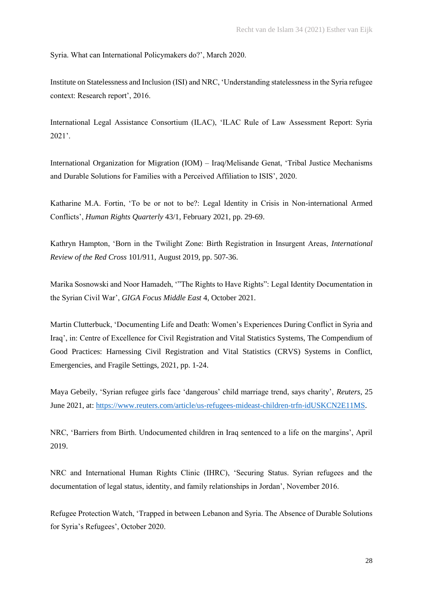Syria. What can International Policymakers do?', March 2020.

Institute on Statelessness and Inclusion (ISI) and NRC, 'Understanding statelessness in the Syria refugee context: Research report', 2016.

International Legal Assistance Consortium (ILAC), 'ILAC Rule of Law Assessment Report: Syria 2021'.

International Organization for Migration (IOM) – Iraq/Melisande Genat, 'Tribal Justice Mechanisms and Durable Solutions for Families with a Perceived Affiliation to ISIS', 2020.

Katharine M.A. Fortin, 'To be or not to be?: Legal Identity in Crisis in Non-international Armed Conflicts', *Human Rights Quarterly* 43/1, February 2021, pp. 29-69.

Kathryn Hampton, 'Born in the Twilight Zone: Birth Registration in Insurgent Areas, *International Review of the Red Cross* 101/911, August 2019, pp. 507-36.

Marika Sosnowski and Noor Hamadeh, '"The Rights to Have Rights": Legal Identity Documentation in the Syrian Civil War', *GIGA Focus Middle East* 4, October 2021.

Martin Clutterbuck, 'Documenting Life and Death: Women's Experiences During Conflict in Syria and Iraq', in: Centre of Excellence for Civil Registration and Vital Statistics Systems, The Compendium of Good Practices: Harnessing Civil Registration and Vital Statistics (CRVS) Systems in Conflict, Emergencies, and Fragile Settings, 2021, pp. 1-24.

Maya Gebeily, 'Syrian refugee girls face 'dangerous' child marriage trend, says charity', *Reuters*, 25 June 2021, at: [https://www.reuters.com/article/us-refugees-mideast-children-trfn-idUSKCN2E11MS.](about:blank)

NRC, 'Barriers from Birth. Undocumented children in Iraq sentenced to a life on the margins', April 2019.

NRC and International Human Rights Clinic (IHRC), 'Securing Status. Syrian refugees and the documentation of legal status, identity, and family relationships in Jordan', November 2016.

Refugee Protection Watch, 'Trapped in between Lebanon and Syria. The Absence of Durable Solutions for Syria's Refugees', October 2020.